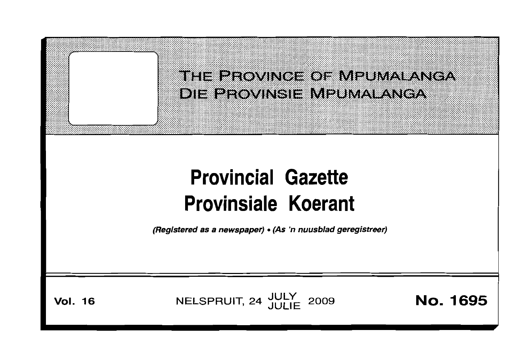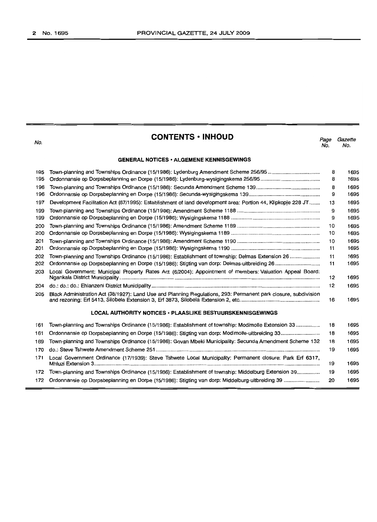| No.                                                       | <b>CONTENTS · INHOUD</b>                                                                                        | Page<br>No. | Gazette<br>No. |  |  |  |
|-----------------------------------------------------------|-----------------------------------------------------------------------------------------------------------------|-------------|----------------|--|--|--|
| <b>GENERAL NOTICES · ALGEMENE KENNISGEWINGS</b>           |                                                                                                                 |             |                |  |  |  |
| 195                                                       |                                                                                                                 | 8           | 1695           |  |  |  |
| 195                                                       |                                                                                                                 | 8           | 1695           |  |  |  |
| 196                                                       |                                                                                                                 | 8           | 1695           |  |  |  |
| 196                                                       |                                                                                                                 | 9           | 1695           |  |  |  |
| 197                                                       | Development Facilitation Act (67/1995): Establishment of land development area: Portion 44, Klipkopje 228 JT    | 13          | 1695           |  |  |  |
| 199                                                       |                                                                                                                 | 9           | 1695           |  |  |  |
| 199                                                       |                                                                                                                 | 9           | 1695           |  |  |  |
| 200                                                       |                                                                                                                 | 10          | 1695           |  |  |  |
| 200                                                       |                                                                                                                 | 10          | 1695           |  |  |  |
| 201                                                       |                                                                                                                 | 10          | 1695           |  |  |  |
| 201                                                       |                                                                                                                 | 11          | 1695           |  |  |  |
| 202                                                       | Town-planning and Townships Ordinance (15/1986): Establishment of township: Delmas Extension 26                 | 11          | 1695           |  |  |  |
| 202                                                       |                                                                                                                 | 11          | 1695           |  |  |  |
| 203                                                       | Local Government: Municipal Property Rates Act (6/2004): Appointment of members: Valuation Appeal Board:        | 12          | 1695           |  |  |  |
| 204                                                       |                                                                                                                 | 12          | 1695           |  |  |  |
| 205                                                       | Black Administration Act (38/1927): Land Use and Planning Regulations, 293: Permanent park closure, subdivision | 16          | 1695           |  |  |  |
| LOCAL AUTHORITY NOTICES . PLAASLIKE BESTUURSKENNISGEWINGS |                                                                                                                 |             |                |  |  |  |
| 161                                                       | Town-planning and Townships Ordinance (15/1986): Establishment of township: Modimolle Extension 33              | 18          | 1695           |  |  |  |
| 161                                                       |                                                                                                                 | 18          | 1695           |  |  |  |
| 169                                                       | Town-planning and Townships Ordinance (15/1986): Govan Mbeki Municipality: Secunda Amendment Scheme 132         | 18          | 1695           |  |  |  |
| 170                                                       |                                                                                                                 | 19          | 1695           |  |  |  |
| 171                                                       | Local Government Ordinance (17/1939): Steve Tshwete Local Municipality: Permanent closure: Park Erf 6317,       | 19          | 1695           |  |  |  |
| 172                                                       | Town-planning and Townships Ordinance (15/1986): Establishment of township: Middelburg Extension 39             | 19          | 1695           |  |  |  |
| 172                                                       |                                                                                                                 | 20          | 1695           |  |  |  |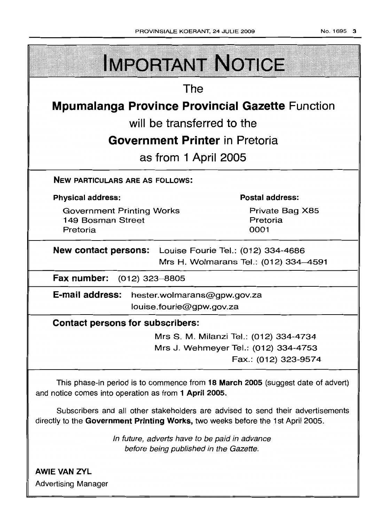| <b>IMPORTANT NOTICE</b>                                                                                                                                            |  |  |  |  |  |
|--------------------------------------------------------------------------------------------------------------------------------------------------------------------|--|--|--|--|--|
| The                                                                                                                                                                |  |  |  |  |  |
| <b>Mpumalanga Province Provincial Gazette Function</b>                                                                                                             |  |  |  |  |  |
| will be transferred to the                                                                                                                                         |  |  |  |  |  |
| <b>Government Printer</b> in Pretoria                                                                                                                              |  |  |  |  |  |
| as from 1 April 2005                                                                                                                                               |  |  |  |  |  |
| <b>NEW PARTICULARS ARE AS FOLLOWS:</b>                                                                                                                             |  |  |  |  |  |
| <b>Postal address:</b><br><b>Physical address:</b>                                                                                                                 |  |  |  |  |  |
| Private Bag X85<br><b>Government Printing Works</b><br>Pretoria<br>149 Bosman Street<br>0001<br>Pretoria                                                           |  |  |  |  |  |
| <b>New contact persons:</b> Louise Fourie Tel.: (012) 334-4686<br>Mrs H. Wolmarans Tel.: (012) 334-4591                                                            |  |  |  |  |  |
| Fax number: (012) 323-8805                                                                                                                                         |  |  |  |  |  |
| E-mail address: hester.wolmarans@gpw.gov.za<br>louise.fourie@gpw.gov.za                                                                                            |  |  |  |  |  |
| <b>Contact persons for subscribers:</b>                                                                                                                            |  |  |  |  |  |
| Mrs S. M. Milanzi Tel.: (012) 334-4734<br>Mrs J. Wehmeyer Tel.: (012) 334-4753<br>Fax.: (012) 323-9574                                                             |  |  |  |  |  |
| This phase-in period is to commence from 18 March 2005 (suggest date of advert)<br>and notice comes into operation as from 1 April 2005.                           |  |  |  |  |  |
| Subscribers and all other stakeholders are advised to send their advertisements<br>directly to the Government Printing Works, two weeks before the 1st April 2005. |  |  |  |  |  |
| In future, adverts have to be paid in advance<br>before being published in the Gazette.                                                                            |  |  |  |  |  |

**AWIE VAN ZVL** Advertising Manager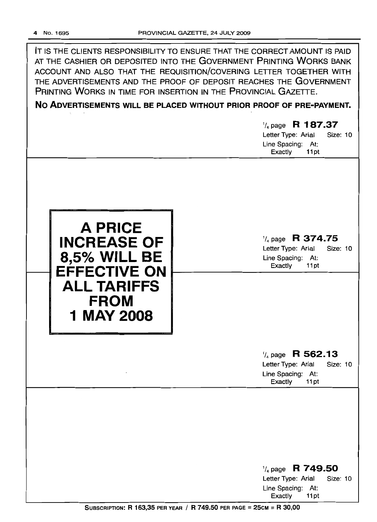| IT IS THE CLIENTS RESPONSIBILITY TO ENSURE THAT THE CORRECT AMOUNT IS PAID<br>AT THE CASHIER OR DEPOSITED INTO THE GOVERNMENT PRINTING WORKS BANK<br>ACCOUNT AND ALSO THAT THE REQUISITION/COVERING LETTER TOGETHER WITH<br>THE ADVERTISEMENTS AND THE PROOF OF DEPOSIT REACHES THE GOVERNMENT<br>PRINTING WORKS IN TIME FOR INSERTION IN THE PROVINCIAL GAZETTE.<br>NO ADVERTISEMENTS WILL BE PLACED WITHOUT PRIOR PROOF OF PRE-PAYMENT.<br>$\frac{1}{4}$ page R 187.37 |                                                                                                                                 |  |  |  |  |
|--------------------------------------------------------------------------------------------------------------------------------------------------------------------------------------------------------------------------------------------------------------------------------------------------------------------------------------------------------------------------------------------------------------------------------------------------------------------------|---------------------------------------------------------------------------------------------------------------------------------|--|--|--|--|
|                                                                                                                                                                                                                                                                                                                                                                                                                                                                          | Letter Type: Arial<br><b>Size: 10</b><br>Line Spacing: At:<br>Exactly<br>11pt                                                   |  |  |  |  |
| <b>A PRICE</b><br><b>INCREASE OF</b><br><b>8,5% WILL BE</b><br><b>EFFECTIVE ON</b><br><b>ALL TARIFFS</b><br><b>FROM</b><br>1 MAY 2008                                                                                                                                                                                                                                                                                                                                    | $\frac{1}{4}$ page R 374.75<br>Letter Type: Arial<br>Size: 10<br>Line Spacing: At:<br>Exactly<br>11pt                           |  |  |  |  |
| $\cdot$                                                                                                                                                                                                                                                                                                                                                                                                                                                                  | $\frac{1}{4}$ page R 562.13<br>Size: 10<br>Letter Type: Arial<br>Line Spacing: At:                                              |  |  |  |  |
|                                                                                                                                                                                                                                                                                                                                                                                                                                                                          | Exactly<br>11pt<br>$\frac{1}{4}$ page R 749.50<br>Letter Type: Arial<br><b>Size: 10</b><br>Line Spacing: At:<br>Exactly<br>11pt |  |  |  |  |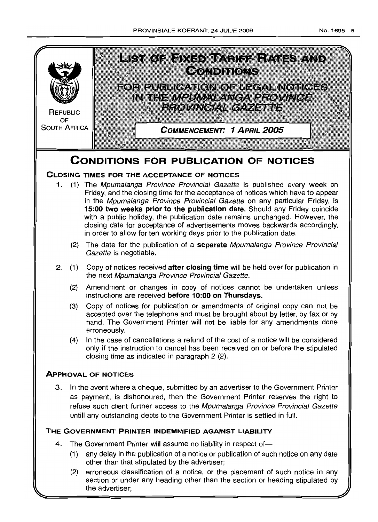

## **CONDITIONS FOR PUBLICATION OF NOTICES**

## **CLOSING TIMES FOR THE ACCEPTANCE OF NOTICES**

- 1. (1) The Mpumalanga Province Provincial Gazette is published every week on Friday, and the closing time for the acceptance of notices which have to appear in the Mpumalanga Province Provincial Gazette on any particular Friday, is **15:00 two weeks prior to the publication date.** Should any Friday coincide with a public holiday, the publication date remains unchanged. However, the closing date for acceptance of advertisements moves backwards accordingly, in order to allow for ten working days prior to the publication date.
	- (2) The date for the publication of a **separate** Mpumalanga Province Provincial Gazette is negotiable.
- 2. (1) Copy of notices received **after closing time** will be held over for publication in the next Mpumalanga Province Provincial Gazette.
	- (2) Amendment or changes in copy of notices cannot be undertaken unless instructions are received **before 10:00 on Thursdays.**
	- (3) Copy of notices for publication or amendments of original copy can not be accepted over the telephone and must be brought about by letter, by fax or by hand. The Government Printer will not be liable for any amendments done erroneously.
	- (4) In the case of cancellations a refund of the cost of a notice will be considered only if the instruction to cancel has been received on or before the stipulated closing time as indicated in paragraph 2 (2).

## **ApPROVAL OF NOTICES**

3. In the event where a cheque, submitted by an advertiser to the Government Printer as payment, is dishonoured, then the Government Printer reserves the right to refuse such client further access to the Mpumalanga Province Provincial Gazette untill any outstanding debts to the Government Printer is settled in full.

## **THE GOVERNMENT PRINTER INDEMNIFIED AGAINST LIABILITY**

- 4. The Government Printer will assume no liability in respect of-
	- (1) any delay in the publication of a notice or publication of such notice on any date other than that stipulated by the advertiser;
	- (2) erroneous classification of a notice, or the placement of such notice in any section or under any heading other than the section or heading stipulated by the advertiser;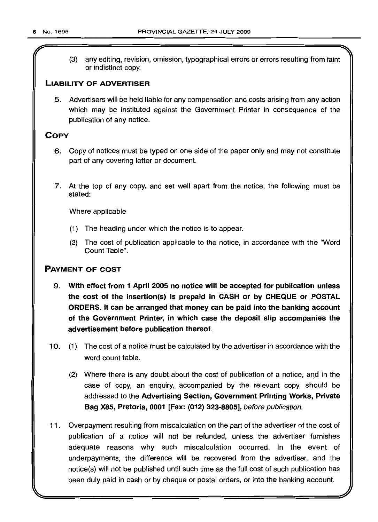(3) any editing, revision, omission, typographical errors or errors resulting from faint or indistinct copy.

## LIABILITY OF ADVERTISER

5. Advertisers will be held liable for any compensation and costs arising from any action which may be instituted against the Government Printer in consequence of the publication of any notice.

## **COPY**

- 6. Copy of notices must be typed on one side of the paper only and may not constitute part of any covering letter or document.
- 7. At the top of any copy, and set well apart from the notice. the following must be stated:

Where applicable

- (1) The heading under which the notice is to appear.
- (2) The cost of publication applicable to the notice, in accordance with the "Word Count Table".

## PAYMENT OF COST

- 9. With effect from 1 April 2005 no notice will be accepted for publication unless the cost of the insertion(s) is prepaid in CASH or by CHEQUE or POSTAL ORDERS. It can be arranged that money can be paid into the banking account of the Government Printer, in which case the deposit slip accompanies the advertisement before publication thereof.
- 10. (1) The cost of a notice must be calculated by the advertiser in accordance with the word count table.
	- (2) Where there is any doubt about the cost of publication of a notice, and in the case of copy, an enquiry, accompanied by the relevant copy, should be addressed to the Advertising Section, Government Printing Works, Private Bag X85, Pretoria, 0001 [Fax: (012) 323-8805], before publication.
- 11 . Overpayment resulting from miscalculation on the part of the advertiser of the cost of publication of a notice will not be refunded, unless the advertiser furnishes adequate reasons why such miscalculation occurred. In the event of underpayments, the difference will be recovered from the advertiser, and the notice(s) will not be published until such time as the full cost of such publication has been duly paid in cash or by cheque or postal orders, or into the banking account.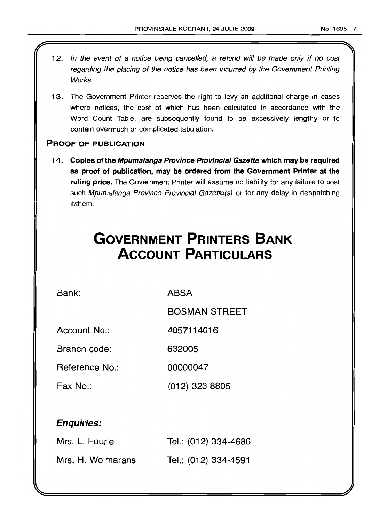- 12. In the event of a notice being cancelled, a refund will be made only if no cost regarding the placing of the notice has been incurred by the Government Printing Works.
- 13. The Government Printer reserves the right to levy an additional charge in cases where notices, the cost of which has been calculated in accordance with the Word Count Table, are subsequently found to be excessively lengthy or to contain overmuch or complicated tabulation.

## PROOF OF PUBLICATION

14. Copies of the Mpumalanga Province Provincial Gazette which may be required as proof of publication, may be ordered from the Government Printer at the ruling price. The Government Printer will assume no liability for any failure to post such Mpumalanga Province Provincial Gazette(s) or for any delay in despatching it/them.

# **GOVERNMENT PRINTERS BANK ACCOUNT PARTICULARS**

Bank: ABSA

BOSMAN STREET

Account No.: 4057114016

Branch code: 632005

Reference No.: 00000047

Fax No.: (012) 323 8805

## Enquiries:

| Mrs. L. Fourie    | Tel.: (012) 334-4686 |
|-------------------|----------------------|
| Mrs. H. Wolmarans | Tel.: (012) 334-4591 |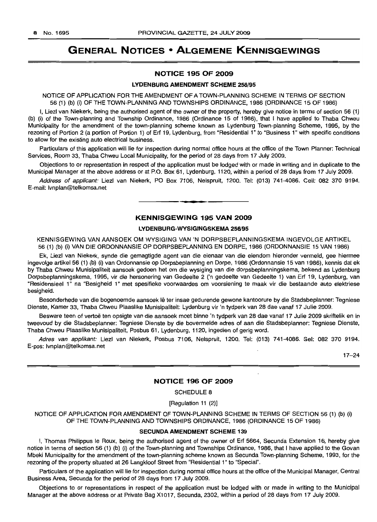## **GENERAL NOTICES • ALGEMENE KENNISGEWINGS**

#### **NOTICE 195 OF 2009**

#### **LVDENBURG AMENDMENT SCHEME** 256/95

NOTICE OF APPLICATION FOR THE AMENDMENT OF A TOWN-PLANNING SCHEME IN TERMS OF SECTION 56 (1) (b) (i) OF THE TOWN-PLANNING AND TOWNSHIPS ORDINANCE, 1986 (ORDINANCE 15 OF 1986)

I, Liezl van Niekerk, being the authorised agent of the owner of the property, hereby give notice in terms of section 56 (1) (b) (i) of the Town-planning and Township Ordinance, 1986 (Ordinance 15 of 1986), that I have applied to Thaba Chweu Municipality for the amendment of the town-planning scheme known as Lydenburg Town-planning Scheme, 1995, by the rezoning of Portion 2 (a portion of Portion 1) of Erf 19, Lydenburg, from "Residential 1" to "Business 1" with specific conditions to allow for the existing auto electrical business.

Particulars of this application will lie for inspection during normal office hours at the office of the Town Planner: Technical Services, Room 33, Thaba Chweu Local Municipality, for the period of 28 days from 17 July 2009.

Objections to or representation in respect of the application must be lodged with or made in writing and in duplicate to the Municipal Manager at the above address or at P.O. Box 61, Lydenburg, 1120, within a period of 28 days from 17 July 2009.

Address of applicant: Liezl van Niekerk, PO Box 7106, Nelspruit, 1200. Tel: (013) 741-4086. Cell: 082 370 9194. E-mail: Ivnplan@telkomsa.net

#### **KENNISGEWING 195 VAN 2009**

**•**

#### **LVDENBURG·WVSIGINGSKEMA** 256/95

KENNISGEWING VAN AANSOEK OM WYSIGING VAN 'N DORPSBEPLANNINGSKEMA INGEVOLGE ARTIKEL 56 (1) (b) (i) VAN DIE ORDONNANSIE OP DORPSBEPLANNING EN DORPE, 1986 (ORDONNANSIE 15 VAN 1986)

Ek, Liezl van Niekerk, synde die gemagtigde agent van die eienaar van die eiendom hieronder vermeld, gee hiermee ingevolge artikel 56 (1) (b) (i) van Ordonnansie op Dorpsbeplanning en Dorpe, 1986 (Ordonnansie 15 van 1986), kennis dat ek by Thaba Chweu Munisipaliteit aansoek gedoen het om die wysiging van die dorpsbeplanningskema, bekend as Lydenburg Dorpsbeplanningskema, 1995, vir die hersonering van Gedeelte 2 ('n gedeelte van Gedeelte 1) van Erf 19, Lydenburg, van "Residensieel 1" na "Besigheid 1" met spesifieke voorwaardes om voorsiening te maak vir die bestaande auto elektriese besigheid.

Besonderhede van die bogenoemde aansoek lê ter insae gedurende gewone kantoorure by die Stadsbeplanner: Tegniese Dienste, Kamer 33, Thaba Chweu Plaaslike Munisipaliteit: Lydenburg vir 'n tydperk van 28 dae vanaf 17 Julie 2009.

Besware teen of vertoë ten opsigte van die aansoek moet binne 'n tydperk van 28 dae vanaf 17 Julie 2009 skriftelik en in tweevoud by die Stadsbeplanner: Tegniese Dienste by die bovermelde adres of aan die Stadsbeplanner: Tegniese Dienste, Thaba Chweu Plaaslike Munisipaliteit, Posbus 61, Lydenburg, 1120, ingedien of gerig word.

Adres van applikant: Liezl van Niekerk, Posbus 7106, Nelspruit, 1200. Tel: (013) 741-4086. Sel: 082 370 9194. E-pos: Ivnplan@telkomsa.net

17-24

#### **NOTICE 196 OF 2009**

SCHEDULE 8

#### [Regulation 11 (2)]

NOTICE OF APPLICATION FOR AMENDMENT OF TOWN-PLANNING SCHEME IN TERMS OF SECTION 56 (1) (b) (i) OF THE TOWN-PLANNING AND TOWNSHIPS ORDINANCE, 1986 (ORDINANCE 15 OF 1986)

#### SECUNDA AMENDMENT **SCHEME 139**

I, Thomas Philippus Ie Roux, being the authorised agent of the owner of Erf 5664, Secunda Extension 16, hereby give notice in terms of section 56 (1) (b) (i) of the Town-planning and Townships Ordinance, 1986, that I have applied to the Govan Mbeki Municipality for the amendment of the town-planning scheme known as Secunda Town-planning Scheme, 1993, for the rezoning of the property situated at 26 Langkloof Street from "Residential 1" to "Special".

Particulars of the application will lie for inspection during normal office hours at the office of the Municipal Manager, Central Business Area, Secunda for the period of 28 days from 17 July 2009.

Objections to or representations in respect of the application must be lodged with or made in writing to the Municipal Manager at the above address or at Private Bag X1017, Secunda, 2302, within a period of 28 days from 17 July 2009.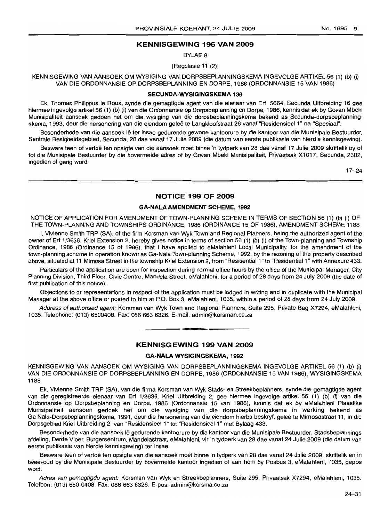## **KENNISGEWING 196 VAN 2009**

BYLAE 8

[Regulasie 11 (2)]

KENNISGEWING VAN AANSOEK OM WYSIGING VAN DORPSBEPLANNINGSKEMA INGEVOLGE ARTIKEL 56 (1) (b) (i) VAN DIE ORDONNANSIE OP DORPSBEPLANNING EN DORPE, 1986 (ORDONNANSIE 15 VAN 1986)

#### **SECUNDA·WYSIGINGSKEMA** 139

Ek, Thomas Philippus Ie Roux, synde die gemagtigde agent van die eienaar van Erf 5664, Secunda Uitbreiding 16 gee hiermee ingevolge artikel 56 (1) (b) (i) van die Ordonnansie op Dorpsbeplanning en Dorpe, 1986, kennis dat ek by Govan Mbeki Munisipaliteit aansoek gedoen het om die wysiging van die dorpsbeplanningskema bekend as Secunda-dorpsbeplanningskema, 1993, deur die hersonering van die eiendom geleë te Langkloofstraat 26 vanaf "Residensieel 1" na "Spesiaal".

Besonderhede van die aansoek Ie ter insae gedurende gewone kantoorure by die kantoor van die Munisipale Bestuurder, Sentrale Besigheidsgebied, Secunda, 28 dae vanaf 17 Julie 2009 (die datum van eerste publikasie van hierdie kennisgewing).

Besware teen of vertoë ten opsigte van die aansoek moet binne 'n tydperk van 28 dae vanaf 17 Julie 2009 skriftelik by of tot die Munisipale Bestuurder by die bovermelde adres of by Govan Mbeki Munisipaliteit, Privaatsak X1017, Secunda, 2302, ingedien of gerig word.

17-24

#### **NOTICE 199 OF 2009**

#### **GA-NALAAMENDMENT SCHEME,** 1992

NOTICE OF APPLICATION FOR AMENDMENT OF TOWN-PLANNING SCHEME IN TERMS OF SECTION 56 (1) (b) (i) OF THE TOWN-PLANNING AND TOWNSHIPS ORDINANCE, 1986 (ORDINANCE 15 OF 1986), AMENDMENT SCHEME 1188

I, Vivienne Smith TRP (SA), of the firm Korsman van Wyk Town and Regional Planners, being the authorized agent of the owner of Erf 1/3636, Kriel Extension 2, hereby gives notice in terms of section 56 (1) (b) (i) of the Town-planning and Township Ordinance, 1986 (Ordinance 15 of 1986), that I have applied to eMalahleni Local Municipality, for the amendment of the town-planning scheme in operation known as Ga-Nala Town-planning Scheme, 1992, by the rezoning of the property described above, situated at 11 Mimosa Street in the township Kriel Extension 2, from "Residential 1" to "Residential 1" with Annexure 433.

Particulars of the application are open for inspection during normal office hours by the office of the Municipal Manager, City Planning Division, Third Floor, Civic Centre, Mandela Street, eMalahleni, for a period of 28 days from 24 July 2009 (the date of first publication of this notice).

Objections to or representations in respect of the application must be lodged in writing and in duplicate with the Municipal Manager at the above office or posted to him at P.O. Box 3, eMalahleni, 1035, within a period of 28 days from 24 July 2009.

Address of authorised agent: Korsman van Wyk Town and Regional Planners, Suite 295, Private Bag X7294, eMalahleni, 1035. Telephone: (013) 6500408. Fax: 086 663 6326. E-mail: admin@korsman.co.za .**- .**

### **KENNISGEWING 199 VAN 2009**

#### **GA·NALA WYSIGINGSKEMA,** 1992

KENNISGEWING VAN AANSOEK OM WYSIGING VAN DORPSBEPLANNINGSKEMA INGEVOLGE ARTIKEL 56 (1) (b) (i) VAN DIE ORDONNANSIE OP DORPSBEPLANNING EN DORPE, 1986 (ORDONNANSIE 15 VAN 1986), WYSIGINGSKEMA 1188

Ek, Vivienne Smith TRP (SA), van die firma Korsman van Wyk Stads- en Streekbeplanners, synde die gemagtigde agent van die geregistreerde eienaar van Erf 1/3636, Kriel Uitbreiding 2, gee hiermee ingevolge artikel 56 (1) (b) (i) van die Ordonnansie op Dorpsbeplanning en Dorpe, 1986 (Ordonnansie 15 van 1986), kennis dat ek by eMalahleni Plaaslike Munisipaliteit aansoen gedoek het om die wysiging van die dorpsbeplanningskema in werking bekend as Ga-Nala-Dorpsbeplanningskema, 1991, deur die hersonering van die eiendom hierbo beskryf, gelee te Mimosastraat 11, in die Dorpsgebied Kriel Uitbreiding 2, van "Residensieel 1" tot "Residensieel 1" met Bylaag 433.

Besonderhede van die aansoek lê gedurende kantoorure by die kantoor van die Munisipale Bestuurder, Stadsbeplannings afdeling, Derde Vloer, Burgersentrum, Mandelastraat, eMalahleni, vir 'n tydperk van 28 dae vanaf 24 Julie 2009 (die datum van eerste publikasie van hierdie kennisgewing) ter insae.

Besware teen of vertoë ten opsigte van die aansoek moet binne 'n tydperk van 28 dae vanaf 24 Julie 2009, skriftelik en in tweevoud by die Munisipale Bestuurder by bovermelde kantoor ingedien of aan hom by Posbus 3, eMalahleni, 1035, gepos word.

Adres van gemagtigde agent: Korsman van Wyk en Streekbeplanners, Suite 295, Privaatsak X7294, eMalahleni, 1035. Telefoon: (013) 650-0408. Fax: 086 663 6326. E-pos: admin@korsma.co.za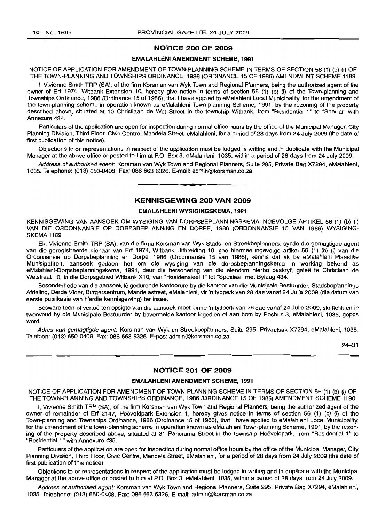#### NOTICE 200 OF 2009

#### EMALAHLENI AMENDMENT SCHEME, 1991

NOTICE OF APPLICATION FOR AMENDMENT OF TOWN-PLANNING SCHEME IN TERMS OF SECTION 56 (1) (b) (i) OF THE TOWN-PLANNING AND TOWNSHIPS ORDINANCE, 1986 (ORDINANCE 15 OF 1986) AMENDMENT SCHEME 1189

I, Vivienne Smith TRP (SA), of the firm Korsman van Wyk Town and Regional Planners, being the authorized agent of the owner of Erf 1974, Witbank Extension 10, hereby give notice in terms of section 56 (1) (b) (i) of the Town-planning and Townships Ordinance, 1986 (Ordinance 15 of 1986), that I have applied to eMalahleni Local Municipality, for the amendment of the town-planning scheme in operation known as eMalahleni Town-planning Scheme, 1991, by the rezoning of the property described above, situated at 10 Christiaan de Wet Street in the township Witbank, from "Residential 1" to "Special" with Annexure 434. .

Particulars of the application are open for inspection during normal office hours by the office of the Municipal Manager, City Planning Division, Third Floor; Civic Centre, Mandela Street, eMalahleni, for a period of 28 days from 24 July 2009 (the date of first publication of this notice).

Objections to or representations in respect of the application must be lodged in writing and in duplicate with the Municipal Manager at the above office or posted to him at P.O. Box 3, eMalahleni, 1035, within a period of 28 days from 24 July 2009.

Address of authorised agent: Korsman van Wyk Town and Regional Planners, Suite 295, Private Bag X7294, eMalahleni, 1035. Telephone: (013) 650-0408. Fax: 086 663 6326. E-mail: admin@korsman.co.za

**-**

### KENNISGEWING 200 VAN 2009

#### EMALAHLENI WYSIGINGSKEMA, 1991

KENNISGEWING VAN AANSOEK OM WYSIGING VAN DORPSBEPLANNINGSKEMA INGEVOLGE ARTIKEL 56 (1) (b) (i) VAN DIE ORDONNANSIE OP DORPSBEPLANNING EN DORPE, 1986 (ORDONNANSIE 15 VAN 1986) WYSIGING-SKEMA 1189

Ek, Vivienne Smith TRP (SA), van die firma Korsman van Wyk Stads- en Streekbeplanners, synde die gemagtigde agent van die geregistreerde eienaar van Erf 1974, Witbank Uitbreiding 10, gee hiermee ingevolge artikel 56 (1) (b) (i) van die Ordonnansie op Dorpsbeplanning en Dorpe, 1986 (Ordonnansie 15 van 1986), kennis dat ek by eMalahleni Plaaslike Munisipaliteit, aansoek gedoen het om die wysiging van die dorpsbeplanningskema in werking bekend as eMalahleni-Dorpsbeplanningskema, 1991, deur die hersonering van die eiendom hierbo beskryf, qelee te Christiaan de Wetstraat 10, in die Dorpsgebied Witbank X10, van "Residensieel 1" tot "Spesiaal" met Bylaag 434.

Besonderhede van die aansoek Ie gedurende kantoorure by die kantoor van die Munisipale Bestuurder, Stadsbeplannings Afdeling, Derde Vloer, Burgersentrum, Mandelastraat, eMalahleni, vir 'n tydperk van 28 dae vanaf 24 Julie 2009 (die datum van eerste publikasie van hierdie kennisgewing) ter insae.

Besware teen of vertoë ten opsigte van die aansoek moet binne 'n tydperk van 28 dae vanaf 24 Julie 2009, skriftelik en in tweevoud by die Munisipale Bestuurder by bovermelde kantoor ingedien of aan hom by Posbus 3, eMalahleni, 1035, gepos word.

Adres van gemagtigde agent: Korsman van Wyk en Streekbeplanners, Suite 295, Privaatsak X7294, eMalahleni, 1035. Telefoon: (013) 650-0408. Fax: 086 663 6326. E-pos: admin@korsman.co.za

24-31

## NOTICE 201 OF 2009

#### EMALAHLENI AMENDMENT SCHEME, 1991

NOTICE OF APPLICATION FOR AMENDMENT OF TOWN-PLANNING SCHEME IN TERMS OF SECTION 56 (1) (b) (i) OF THE TOWN-PLANNING AND TOWNSHIPS ORDINANCE, 1986 (ORDINANCE 15 OF 1986) AMENDMENT SCHEME 1190

I, Vivienne Smith TRP (SA), of the firm Korsman van Wyk Town and Regional Planners, being the authorized agent of the owner of remainder of Erf 2147, Hoëveldpark Extension 1, hereby gives notice in terms of section 56 (1) (b) (i) of the Town-planning and Townships Ordinance, 1986 (Ordinance 15 of 1986), that I have applied to eMalahleni Local Municipality, for the amendment of the town-planning scheme in operation known as eMalahleni Town-planning Scheme, 1991, by the rezoning of the property described above, situated at 31 Panorama Street in the township Hoeveldpark, from "Residential 1" to "Residential 1" with Annexure 435.

Particulars of the application are open for inspection during normal office hours by the office of the Municipal Manager, City Planning Division, Third Floor, Civic Centre, Mandela Street, eMalahleni, for a period of 28 days from 24 July 2009 (the date of first publication of this notice).

Objections to or representations in respect of the application must be lodged in writing and in duplicate with the Municipal Manager at the above office or posted to him at P.O. Box 3, eMalahleni, 1035, within a period of 28 days from 24 July 2009.

Address of authorised agent: Korsman van Wyk Town and Regional Planners, Suite 295, Private Bag X7294, eMalahleni, 1035. Telephone: (013) 650-0408. Fax: 086 663 6326. E-mail: admin@korsman.co.za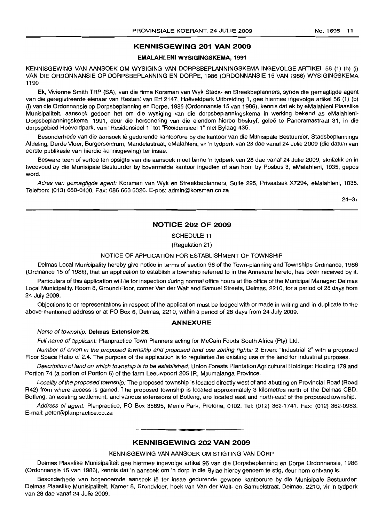### **KENNISGEWING 201 VAN 2009**

#### **EMALAHLENI WYSIGINGSKEMA, 1991**

KENNISGEWING VAN AANSOEK OM WYSIGING VAN DORPSBEPLANNINGSKEMA INGEVOLGE ARTIKEL 56 (1) (b) (i) VAN DIE ORDONNANSIE OP DORPSBEPLANNING EN DORPE, 1986 (ORDONNANSIE 15 VAN 1986) WYSIGINGSKEMA 1190

Ek, Vivienne Smith TRP (SA), van die firma Korsman van Wyk Stads- en Streekbeplanners, synde die gemagtigde agent van die geregistreerde eienaar van Restant van Erf 2147, Hoeveldpark Uitbreiding 1, gee hiermee ingevolge artikel 56 (1) (b) (i) van die Ordonnansie op Dorpsbeplanning en Dorpe, 1986 (Ordonnansie 15 van 1986), kennis dat ek by eMalahleni Plaaslike Munisipaliteit, aansoek gedoen het om die wysiging van die dorpsbeplanningskema in werking bekend as eMalahleni-Dorpsbeplanningskema, 1991, deur die hersonering van die eiendom hierbo beskryf, geleë te Panoramastraat 31, in die dorpsgebied Hoeveldpark, van "Residensieel 1" tot "Residensieel 1" met Bylaag 435.

Besonderhede van die aansoek lê gedurende kantoorure by die kantoor van die Munisipale Bestuurder, Stadsbeplannings Afdeling, Derde Vloer, Burgersentrum, Mandelastraat, eMalahleni, vir 'n tydperk van 28 dae vanaf 24 Julie 2009 (die datum van eerste pubiikasie van hierdie kennisgewing) ter insae.

Besware teen of vertoe ten opsigte van die aansoek moet binne 'n tydperk van 28 dae vanaf 24 Julie 2009, skriftelik en in tweevoud by die Munisipale Bestuurder by bovermelde kantoor ingedien of aan hom by Posbus 3, eMalahleni, 1035, gepos word.

Adres van gemagtigde agent: Korsman van Wyk en Streekbeplanners, Suite 295, Privaatsak X7294, eMalahleni, 1035. Telefoon: (013) 650-0408. Fax: 086 663 6326. E-pos: admin@korsman.co.za

24-31

#### **NOTICE 202 OF 2009**

SCHEDULE **11**

#### (Regulation 21)

#### NOTICE OF APPLICATION FOR ESTABLISHMENT OF TOWNSHIP

Delmas Local Municipality hereby give notice in terms of section 96 of the Town-planning and Townships Ordinance, 1986 (Ordinance 15 of 1986), that an application to establish a township referred to in the Annexure hereto, has been received by it.

Particulars of this application will lie for inspection during normal office hours at the office of the Municipal Manager: Delmas Local Municipality, Room 8, Ground Floor, corner Van der Walt and Samuel Streets, Delmas, 2210, for a period of 28 days from 24 July 2009.

Objections to or representations in respect of the application must be lodged with or made in writing and in duplicate to the above-mentioned address or at PO Box 6, Delmas, 2210, within a period of 28 days from 24 July 2009.

#### **ANNEXURE**

#### Name of township: **Delmas Extension** 26.

Full name of applicant: Planpractice Town Planners acting for McCain Foods South Africa (Pty) Ltd.

Number of erven in the proposed township and proposed land use zoning rights: 2 Erven: "Industrial 2" with a proposed Floor Space Ratio of 2.4. The purpose of the application is to regularise the existing use of the land for industrial purposes.

Description of land on which township is to be established: Union Forests Plantation Agricultural Holdings: Holding 179 and Portion 74 (a portion of Portion 5) of the farm Leeuwpoort 205 IR, Mpumalanga Province.

Locality of the proposed township: The proposed township is located directly west of and abutting on Provincial Road (Road R42) from where access is gained. The proposed township is located approximately 3 kilometres north of the Delmas CBD. Botleng, an existing settlement, and various extensions of Botleng, are located east and north-east of the proposed township.

Address of agent: Planpractice, PO Box 35895, Menlo Park, Pretoria, 0102. Tel: (012) 362-1741. Fax: (012) 362-0983. E-mail: peter@planpractice.co.za

#### **KENNISGEWING 202 VAN 2009**

**• •**

#### KENNISGEWING VAN AANSOEK OM STIGTING VAN DORP

Delmas Plaaslike Munisipaliteit gee hiermee ingevolge artikel 96 van die Dorpsbeplanning en Dorpe Ordonnansie, 1986 (Ordonnansie 15 van 1986), kennis dat 'n aansoek om 'n dorp in die Bylae hierby genoem te stig, deur hom ontvang is.

Besonderhede van bogenoemde aansoek Iê ter insae gedurende gewone kantoorure by die Munisipale Bestuurder: Delmas Plaaslike Munisipaliteit, Kamer 8, Grondvloer, hoek van Van der Walt- en Samuelstraat, Delmas, 2210, vir 'n tydperk van 28 dae vanaf 24 Julie 2009.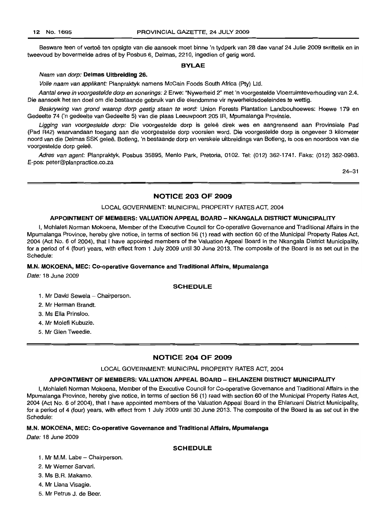Besware teen of vertoë ten opsigte van die aansoek moet binne 'n tydperk van 28 dae vanaf 24 Julie 2009 skriftelik en in tweevoud by bovermelde adres of by Posbus 6, Delmas, 2210, ingedien of gerig word.

#### BYLAE

#### Naam van dorp: Delmas Uitbreiding 26.

Volle naam van applikant: Planpraktyk namens McCain Foods South Africa (Pty) Ltd.

Aantal erwe in voorgestelde dorp en sonerings: 2 Erwe: "Nywerheid 2" met 'n voorgestelde Vloerruimteverhouding van 2.4. Die aansoek het ten doel om die bestaande gebruik van die eiendomme vir nywerheidsdoeleindes te wettig.

Beskrywing van grond waarop dorp gestig staan te word: Union Forests Plantation Landbouhoewes: Hoewe 179 en Gedeelte 74 ('n gedeelte van Gedeelte 5) van die plaas Leeuwpoort 205 IR, Mpumalanga Provinsie.

Ligging van voorgestelde dorp: Die voorgestelde dorp is geleë direk wes en aangrensend aan Provinsiale Pad (Pad R42) waarvandaan toegang aan die voorgestelde dorp voorsien word. Die voorgestelde dorp is ongeveer 3 kilometer noord van die Delmas SSK gelee. Botleng, 'n bestaande dorp en verskeie uitbreidings van Botleng, is oos en noordoos van die voorgestelde dorp geleë.

Adres van agent: Planpraktyk, Posbus 35895, Menlo Park, Pretoria, 0102. Tel: (012) 362-1741. Faks: (012) 362-0983. E-pos: peter@planpractice.co.za

24-31

#### NOTICE 203 OF 2009

#### LOCAL GOVERNMENT: MUNICIPAL PROPERTY RATES ACT, 2004

#### APPOINTMENT OF MEMBERS: VALUATION APPEAL BOARD -- NKANGALA DISTRICT MUNICIPALITY

I, Mohlalefi Norman Mokoena, Member of the Executive Council for Co-operative Governance and Traditional Affairs in the Mpumalanga Province, hereby give notice, in terms of section 56 (1) read with section 60 of the Municipal Property Rates Act, 2004 (Act No.6 of 2004), that I have appointed members of the Valuation Appeal Board in the Nkangala District Municipality, for a period of 4 (four) years, with effect from 1 July 2009 until 30 June 2013. The composite of the Board is as set out in the Schedule:

#### M.N. MOKOENA, MEC: Co-operative Governance and Traditional Affairs, Mpumalanga

Date: 18 June 2009

#### **SCHEDULE**

- 1. Mr David Sewela Chairperson.
- 2. Mr Herman Brandt.
- 3. Ms Ella Prinsloo.
- 4. Mr Molefi Kubuzie.
- 5. Mr Glen Tweedie.

#### NOTICE 204 OF 2009

LOCAL GOVERNMENT: MUNICIPAL PROPERTY RATES ACT, 2004

#### APPOINTMENT OF MEMBERS: VALUATION APPEAL BOARD - EHLANZENI DISTRICT MUNICIPALITY

I, Mohlalefi Norman Mokoena, Member of the Executive Council for Co-operative Governance and Traditional Affairs in the Mpumalanga Province, hereby give notice, in terms of section 56 (1) read with section 60 of the Municipal Property Rates Act, 2004 (Act No.6 of 2004), that I have appointed members of the Valuation Appeal Board in the Ehlanzeni District Municipality, for a period of 4 (four) years, with effect from 1 July 2009 until 30 June 2013. The composite of the Board is as set out in the Schedule:

#### M.N. MOKOENA, MEC: Co-operative Governance and Traditional Affairs, Mpumalanga

Date: 18 June 2009

#### SCHEDULE

- 1. Mr M.M. Labe Chairperson.
- 2. Mr Werner Sarvari.
- 3. Ms B.R. Makamo.
- 4. Mr Liana Visagie.
- 5. Mr Petrus J. de Beer.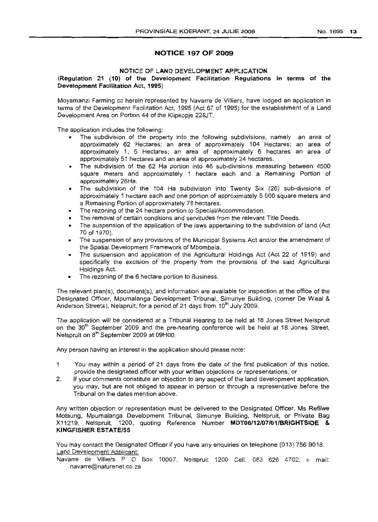#### No.1695 13

## **NOTICE 197 OF 2009**

#### NOTICE OF LAND DEVELOPMENT APPLICATION

#### (Regulation 21 (10) of the Development Facilitation Regulations in terms of the Development Facilitation Act, 1995)

Moyamanzi Farming cc herein represented by Navarre de Villiers, have lodged an application in terms of the Development Facilitation Act, 1995 (Act 67 of 1995) for the establishment of a Land Development Area on Portion 44 of the Klipkopje 228JT.

The application includes the following:

- The subdivision of the property into the following subdivisions, namely an area of approximately 62 Hectares; an area of approximately 104 Hectares; an area of approximately 1, 5 Hectares; an area of approximately 6 hectares an area of approximately 51 hectares and an area of approximately 24 hectares.
- The subdivision of the 62 Ha portion into 46 sub-divisions measuring between 4500 square meters and approximately 1 hectare each and a Remaining Portion of approximately 26Ha.
- The subdivision of the 104 Ha subdivision into Twenty Six (26) sub-divisions of approximately 1 hectare each and one portion of approximately 5 000 square meters and a Remaining Portion of approximately 78 hectares.
- The rezoning of the 24 hectare portion to Special/Accommodation.
- The removal of certain conditions and servitudes from the relevant Title Deeds.
- The suspension of the application of the laws appertaining to the subdivision of land (Act 70 of 1970).
- The suspension of any provisions of the Municipal Systems Act and/or the amendment of the Spatial Development Framework of Mbombela.
- The suspension and application of the Agricultural Holdings Act (Act 22 of 1919) and specifically the excision of the property from the provisions of the said Agricultural Holdings Act.
- The rezoning of the 6 hectare portion to Business.

The relevant plan(s), document(s), and information are available for inspection at the office of the Designated Officer, Mpumalanga Development Tribunal, Simunye BUilding, (corner De Waal & Anderson Streets), Nelspruit, for a period of 21 days from 10<sup>th</sup> July 2009.

The application will be considered at a Tribunal Hearing to be held at 18 Jones Street Nelspruit on the 30<sup>th</sup> September 2009 and the pre-hearing conference will be held at 18 Jones Street, Nelspruit on s" September <sup>2009</sup> at 09HOO.

Any person having an interest in the application should please note:

- 1 You may within a period of 21 days from the date of the first publication of this notice, provide the designated officer with your written objections or representations, or
- 2. If your comments constitute an objection to any aspect of the land development application, you may, but are not obliged to appear in person or through a representative before the Tribunal on the dates mention above.

Any written objection or representation must be delivered to the Designated Officer, Ms Refilwe Motaung, Mpumalanga Development Tribunal, Simunye Building, Nelspruit, or Private Bag X11219, Nelspruit, 1200, quoting Reference Number MDT061121071011BRIGHTSIDE & **KINGFISHER** ESTATE/55

You may contact the Designated Officer if you have any enquiries on telephone (013) 756 9018. Land Development Apolicant:

Navarre de Villiers P O Box 10007, Neispruit 1200 Cell: 083 626 4702; e mail: navarre@naturenet.co.za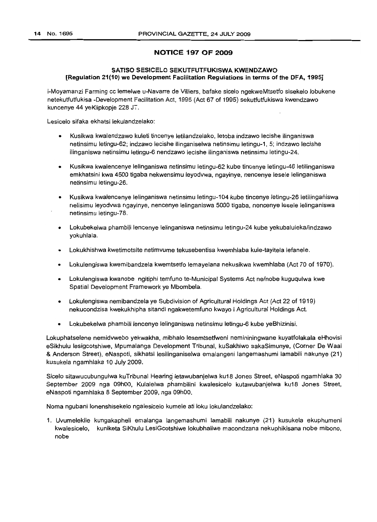## **NOTICE 197 OF 2009**

### **SATISO SESICELO SEKUTFUTFUKISWA KWENDZAWO [Regulation 21(10) we Development Facilitation Regulations in terms** of the **DFA, 1995]**

i-Moyamanzi Farming cc lemelwe u-Navarre de Villiers, bafake sicelo ngekweMtsetfo sisekelo lobukene netekutfutfukisa -Development Facilitation Act, 1995 (Act 67 of 1995) sekutfutfukiswa kwendzawo kuncenye 44 yeKlipkopje 228 J<sup>--</sup>.

Lesicelo sifaka ekhatsi lekulandzelako:

- Kusikwa kwalendzawo kuleti tincenye letilandzelako, letoba indzawo lecishe ilinganiswa netinsimu letingu-62; indzawo lecishe i1inganiselwa netinsimu letingu-1, 5; indzawo lecishe ilinganiswa netinsimu letingu-6 nendzawo lecishe ilinganiswa netinsimu letingu-24.
- Kusikwa kwalencenye lelinganiswa netinsimu letingu-62 kube tincenye letingu-46 letilinganiswa emkhatsini kwa 4500 tigaba nekwensimu leyodvwa, ngayinye, nencenye lesele lelinganiswa netinsimu letingu-26.
- Kusikwa kwalencenye lelinganiswa netinsimu letingu-104 kube tincenye letingu-26 letilingantiswa nelisimu leyodvwa ngayinye, nencenye lelinganiswa 5000 tigaba, nencenye lesele lelinganiswa netinsimu letingu-78.
- Lokubekelwa phambili lencenye lelinganiswa netinsimu letingu-24 kube yekubaluleka/indzawo yokuhlala.
- Lokukhishwa kwetimotsite netimvume tekusebentisa kwemhlaba kule-tayitela lefanele.
- Lokulengiswa kwemibandzela kwemtsetfo lemayelana nekusikwa kwemhlaba (Act 70 of 1970).
- Lokulengiswa kwanobe ngitiphi temfuno te-Municipal Systems Act ne/nobe kuguqulwa kwe Spatial Development Framework ye Mbombela.
- Lokulengiswa nemibandzela ye Subdivision of Agricultural Holdings Act (Act 22 of 1919) nekucondzisa kwekukhipha sitandi ngakwetemfuno kwayo i Agricultural Holdings Act.
- Lokubekelwa phambili lencenye lelinganiswa netinsimu letingu-6 kube yeBhizinisi.

Lokuphatselene nemidvwebo yekwakha, mibhalo lesemtsetfweni nemininingwane kuyatfolakala eHhovisi eSikhulu lesigcotshiwe, Mpumalanga Development Tribunal, kuSakhiwo sakaSimunye, (Corner De Waal & Anderson Street), eNaspoti, sikhatsi lesilinganiselwa emalangeni langemashumi lamabili nakunye (21) kusukela ngamhlaka 10 July 2009.

Sicelo sitawucubungulwa kuTribunal Hearing letawubanjelwa ku18 Jones Street, eNaspoti ngamhlaka 30 September 2009 nga 09hOO, Kulalelwa phambilini kwalesicelo kutawubanjelwa ku18 Jones Street, eNaspoti ngamhlaka 8 September 2009, nga 09hOO.

Noma ngubani lonenshisekelo ngalesicelo kumele ati loku lokulandzelako:

1. Uvumelekile kungakapheli emalanga langemashumi lamabili nakunye (21) kusukela ekuphumeni kwalesicelo, kuniketa SiKhulu LesiGcotshiwe lokubhaliwe macondzana nekuphikisana nobe mibono, nobe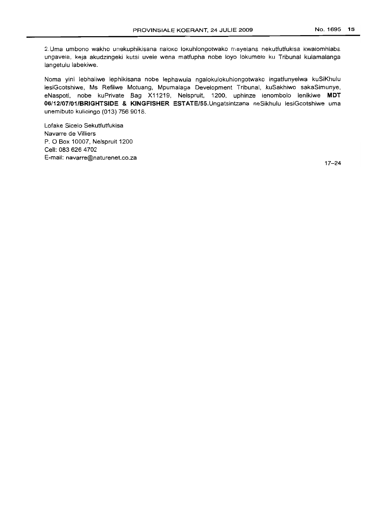2.Uma umbono wakho unekuphikisana naloxo lokuhlonpotwako mayelana nekutfutfukisa kwalomhlaba ungavela, keja akudzingeki kutsi uvele wena matfupha nobe loyo lokumele ku Tribunal kulamalanga langetulu labekiwe.

Noma yini lebhaliwe lephikisana nobe lephawula ngalokulokuhlongotwako ingatfunyelwa kuSiKhulu lesiGcotshiwe, Ms Refilwe Motuang, Mpumalaga Development Tribunal, kuSakhiwo sakaSimunye, eNaspoti, nobe kuPrivate Bag X11219, Nelspruit, 1200, uphinze lenombolo lenikiwe **MDT 06/12/07/01/BRIGHTSIDE & KINGFISHER** ESTATE/55.Ungatsintzana neSikhulu lesiGcotshiwe uma unemibuto kulicinqo (013) 756 9018.

Lofake Sicelo Sekutfutfukisa Navarre de Villiers P. 0 Box 10007, Nelspruit 1200 Cell: 0836264702 E-mail: navarre@naturenet.co.za

17-24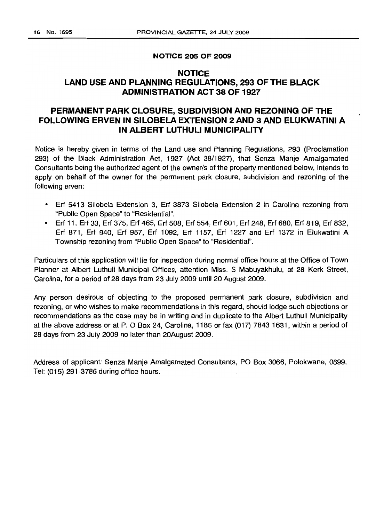#### **NOTICE 205 OF 2009**

## **NOTICE LAND USE AND PLANNING REGULATIONS, 293 OF THE BLACK ADMINISTRATION ACT 38 OF 1927**

## **PERMANENT PARK CLOSURE, SUBDIVISION AND REZONING OF -rHE FOLLOWING ERVEN IN SILOBELA EXTENSION 2 AND 3 AND ELUKWATINI A IN ALBERT LUTHULI MUNICIPALITY**

Notice is hereby given in terms of the Land use and Planning Regulations, 293 (Proclamation 293) of the Black Administration Act, 1927 (Act 38/1927), that Senza Manje Amalgamated Consultants being the authorized agent of the owner/s of the property mentioned below, intends to apply on behalf of the owner for the permanent park closure, subdivision and rezoning of the following erven:

- Erf 5413 Silobela Extension 3, Erf 3873 Silobela Extension 2 in Carolina rezoning from "Public Open Space" to "Residential".
- Erf 11, Erf 33, Erf 375, Erf 465, Erf 508, Erf 554, Erf 601 , Erf 248, Erf 680, Erf 819, Erf 832, Erf 871, Erf 940, Erf 957, Erf 1092, Erf 1157, Erf 1227 and Erf 1372 in Elukwatini A Township rezoning from "Public Open Space" to "Residential".

Particulars of this application will lie for inspection during normal office hours at the Office of Town Planner at Albert Luthuli Municipal Offices, attention Miss. S Mabuyakhulu, at 28 Kerk Street, Carolina, for a period of 28 days from 23 July 2009 until 20 August 2009.

Any person desirous of objecting to the proposed permanent park closure, subdivision and rezoning, or who wishes to make recommendations in this regard, should lodge such objections or recommendations as the case may be in writing and in duplicate to the Albert Luthuli Municipality at the above address or at P. 0 Box 24, Carolina, 1185 or fax (017) 7843 1631, within a period of 28 days from 23 July 2009 no later than 20August 2009.

Address of applicant: Senza Manje Amalgamated Consultants, PO Box 3066, Polokwane, 0699. Tel: (015) 291-3786 during office hours.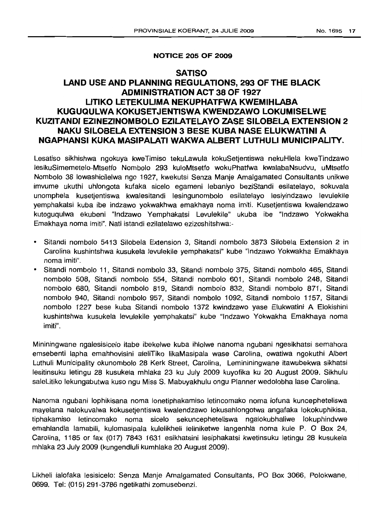## **NOTICE 205 OF 2009**

## **SATISO LAND USE AND PLANNING REGULATIONS, 293 OF THE BLACK ADMINISTRATION ACT 38 OF 1927 LlTIKO LETEKULIMA NEKUPHATFWA KWEMIHLABA KUGUQULWA KOKUSETJENTISWA KWENDZAWO LOKUMISELWE KUZITANDI EZINEZINOMBOLO EZILATELAVO ZASE SILOBELA EXTENSION 2 NAKU SILOBELA EXTENSION 3 BESE KUBA NASE ELUKWATINI A NGAPHANSI KUKA MASIPALATI WAKWA ALBERT LUTHULI MUNICIPALITY.**

Lesatiso sikhishwa ngokuya kweTimiso tekuLawula kokuSetjentiswa nekuHlela kweTindzawo lesikuSimemetelo-Mtsetfo Nombolo 293 kuloMtsetfo wokuPhatfwa kwalabaNsudvu, uMtsetfo Nombolo 38 lowashicilelwa ngo 1927, kwekutsi Senza Manje Amalgamated Consultants unikwe imvume ukuthi uhlongota kutaka sicelo egameni lebaniyo beziStandi esilatelayo, sokuvala unomphela kusetjentiswa kwalesitandi lesingunombolo esilatelayo lesiyindzawo levulekile yemphakatsi kuba ibe indzawo yokwakhwa emakhaya noma imiti. Kusetjentiswa kwalendzawo kutoguqulwa ekubeni "Indzawo Yemphakatsi Levuleki/e" ukuba ibe "Indzawo Yokwakha Emakhaya noma imiti". Nati istandi ezilatelawo ezizoshitshwa:-

- Sitandi nombolo 5413 Silobela Extension 3, Sitandi nombolo 3873 Silobela Extension 2 in Carolina kushintshwa kusukela levulekile yemphakatsi" kube "Indzawo Yokwakha Emakhaya noma imiti",
- Sitandi nombolo 11, Sitandi nombolo 33, Sitandi nom bolo 375, Sitandi nom bolo 465, Sitandi nombolo 508, Sitandi nombolo 554, Sitandi nombolo 601, Sitandi nombolo 248, Sitandi nombolo 680, Sitandi nombolo 819, Sitandi nombolo 832, Sitandi nombolo 871, Sitandi nombolo 940, Sitandi nom bolo 957, Sitandi nombolo 1092, Sitandi nombolo 1157, Sitandi nombolo 1227 bese kuba Sitandi nombolo 1372 kwindzawo yase Elukwatini A Elokishini kushintshwa kusukela levulekile yemphakatsi" kube "Indzawo Yokwakha Emakhaya noma imiti".

Mininingwane ngalesisicelo itabe ibekelwe kuba ihlolwe nanoma ngubani ngesikhatsi semahora emsebenti lapha emahhovisini aleliTiko IikaMasipala wase Carolina, owatiwa ngokuthi Albert Luthuli Municipality okunombolo 28 Kerk Street, Carolina, Lemininingwane itawubekwa sikhatsi lesitinsuku letingu 28 kusukela mhlaka 23 ku July 2009 kuyofika ku 20 August 2009. Sikhulu saleLitiko lekungabutwa kuso ngu Miss S. Mabuyakhulu ongu Planner wedolobha lase Carolina.

Nanoma ngubani lophikisana noma lonetiphakamiso letincomako noma lofuna kuncepheteliswa mayefana nalokuvalwa kokusetjentiswa kwalendzawo lokusahlongotwa angafaka lokokuphikisa, tiphakamiso letincomako noma sicelo sekuncepheteliswa ngalokubhaliwe lokuphindvwe emahlandla lamabili, kulomasipala kulelikheli leliniketwe langenhla noma kule P. O Box 24, Carolina, 1185 or fax (017) 7843 1631 esikhatsini lesiphakatsi kwetinsuku letingu 28 kusukela mhlaka 23 July 2009 (kungendluli kumhlaka 20 August 2009).

Likheli lalofaka lesisicelo: Senza Manje Amalgamated Consultants, PO Box 3066, Polokwane, 0699. Tel: (015) 291-3786 ngetikathi zomusebenzi.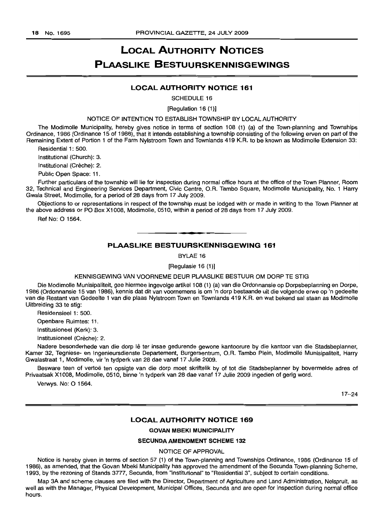## **LOCAL AUTHORITY NOTICES PLAASLIKE BESTUURSKENNISGEWINGS**

### **LOCAL AUTHORITY NOTICE 161**

SCHEDULE 16

#### [Regulation 16 (1)]

#### NOTICE OF INTENTION TO ESTABLISH TOWNSHIP BY LOCAL AUTHORITY

The Modimolle Municipality, hereby gives notice in terms of section 108 (1) (a) of the Town-planning and Townships Ordinance, 1986 (Ordinance 15 of 1986), that it intends establishing a township consisting of the following erven on part of the Remaining Extent of Portion 1 of the Farm Nylstroom Town and Townlands 419 K.R. to be known as Modimolle Extension 33:

Residential 1: 500.

Institutional (Church): 3.

Institutional (Crèche): 2.

Public Open Space: 11.

Further particulars of the township will lie for inspection during normal office hours at the office of the Town Planner, Room 32, Technical and Engineering Services Department, Civic Centre, O.R. Tambo Square, Modimolle Municipality, No.1 Harry Gwala Street, Modimolle, for a period of 28 days from 1.7 July 2009.

Objections to or representations in respect of the township must be lodged with or made in writing to the Town Planner at the above address or PO Box X1008, Modimolle, 0510, within a period of 28 days from 17 July 2009.

Ref No: 0 1564.

## **• PLAASLIKE BESTUURSKENNISGEWING 161**

BYLAE 16

[Regulasie 16 (1)]

KENNISGEWING VAN VOORNEME DEUR PLAASLIKE BESTUUR OM DORP TE STIG

Die Modimolle Munisipaliteit, gee hiermee ingevolge artikel 108 (1) (a) van die Ordonnansie op Dorpsbeplanning en Dorpe, 1986 (Ordonnansie 15 van 1986), kennis dat dit van voornemens is om 'n dorp bestaande uit die volgende erwe op 'n gedeelte van die Restant van Gedeelte 1 van die plaas Nylstroom Town en Townlands 419 K.R. en wat bekend sal staan as Modimolle Uitbreiding 33 te stig:

Residensieel 1: 500.

Openbare Ruimtes: 11.

Institusioneel (Kerk): 3.

Institusioneel (Crèche): 2.

Nadere besonderhede van die dorp lê ter insae gedurende gewone kantoorure by die kantoor van die Stadsbeplanner, Kamer 32, Tegniese- en Ingenieursdienste Departement, Burgersentrum, O.R. Tambo Plein, Modirnolle Munisipaliteit, Harry Gwalastraat 1, Modimolle, vir 'n tydperk van 28 dae vanaf 17 Julie 2009.

Besware teen of vertoë ten opsigte van die dorp moet skriftelik by of tot die Stadsbeplanner by bovermelde adres of Privaatsak X1 008, Modimolle, 0510, binne 'n tydperk van 28 dae vanaf 17 Julie 2009 ingedien of gerig word.

Verwys. No: 0 1564.

17-24

#### **LOCAL AUTHORITY NOTICE 169**

#### **GOVAN MBEKI MUNICIPALITY**

### SECUNDA AMENDMENT **SCHEME** 132

NOTICE OF APPROVAL

Notice is hereby given in terms of section 57 (1) of the Town-planning and Townships Ordinance, 1986 (Ordinance 15 of 1986), as amended, that the Govan Mbeki Municipality has approved the amendment of the Secunda Town-planning Scheme, 1993, by the rezoning of Stands 3777, Secunda, from "Institutional" to "Residential 3", subject to certain conditions.

Map 3A and scheme clauses are filed with the Director, Department of Agriculture and Land Administration, Nelspruit, as well as with the Manager, Physical Development, Municipal Offices, Secunda and are open for inspection during normal office hours.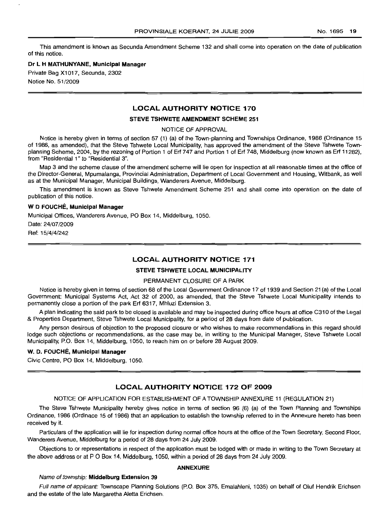This amendment is known as Secunda Amendment Scheme 132 and shall come into operation on the date of publication of this notice.

#### **Dr L H MATHUNYANE, Municipal Manager**

Private Bag X1017, Secunda, 2302

Notice No. 51/2009

## LOCAL AUTHORITY **NOTICE 170**

#### **STEVE TSHWETE AMENDMENT SCHEME 251**

NOTICE OF APPROVAL

Notice is hereby given in terms of section 57 (1) (a) of the Town-planning and Townships Ordinance, 1986 (Ordinance 15 of 1986, as amended), that the Steve Tshwete Local Municipality, has approved the amendment of the Steve Tshwete Townplanning Scheme, 2004, by the rezoning of Portion 1 of Erf 747 and Portion 1 of Erf 748, Middelburg (now known as Erf 11282), from "Residential 1" to "Residential 3".

Map 3 and the scheme clause of the amendment scheme will lie open for inspection at all reasonable times at the office of the Director-General, Mpumalanga, Provincial Administration, Department of Local Government and Housing, Witbank, as well as at the Municipal Manager, Municipal Buildings, Wanderers Avenue, Middelburg.

This amendment is known as Steve Tshwete Amendment Scheme 251 and shall come into operation on the date of publication of this notice.

#### W **0 FOUCHE, Municipal Manager**

Municipal Offices, Wanderers Avenue, PO Box 14, Middelburg, 1050.

Date: 24/07/2009 Ref: 15/4/4/242

#### **LOCAL AUTHORITY NOTICE 171**

#### **STEVE TSHWETE LOCAL MUNICIPALITY**

#### PERMANENT CLOSURE OF A PARK

Notice is hereby given in terms of section 68 of the Local Government Ordinance 17 of 1939 and Section 21 (a) of the Local Government: Municipal Systems Act, Act 32 of 2000, as amended, that the Steve Tshwete Local Municipality intends to permanently close a portion of the park Erf 6317, Mhluzi Extension 3.

A plan indicating the said park to be closed is available and may be inspected during office hours at office C310 of the Legal & Properties Department, Steve Tshwete Local Municipality, for a period of 28 days from date of publication.

Any person desirous of objection to the proposed closure or who wishes to make recommendations in this regard should lodge such objections or recommendations, as the case may be, in writing to the Municipal Manager, Steve Tshwete Local Municipality, P.O. Box 14, Middelburg, 1050, to reach him on or before 28 August 2009.

#### W. D. **FOUCHE, Municipal Manager**

Civic Centre, PO Box 14, Middelburg, 1050.

### **LOCAL AUTHORITY NOTICE 172 OF 2009**

#### NOTICE OF APPLICATION FOR ESTABLISHMENT OF A TOWNSHIP ANNEXURE 11 (REGULATION 21)

The Steve Tshwete Municipality hereby gives notice in terms of section 96 (6) (a) of the Town Planning and Townships Ordinance, 1986 (Ordinace 15 of 1986) that an application to establish the township referred to in the Annexure hereto has been received by it.

Particulars of the application will lie for inspection during normal office hours at the office of the Town Secretary, Second Floor, Wanderers Avenue, Middelburg for a period of 28 days from 24 July 2009.

Objections to or representations in respect of the application must be lodged with or made in writing to the Town Secretary at the above address or at POBox 14, Middelburg, 1050, within a period of 28 days from 24 July 2009.

#### **ANNEXURE**

#### Name of township: **Middelburg Extension 39**

Full name of applicant: Townscape Planning Solutions (P.O. Box 375, Emalahleni, 1035) on behalf of Oluf Hendrik Erichsen and the estate of the late Margaretha Aletta Erichsen.